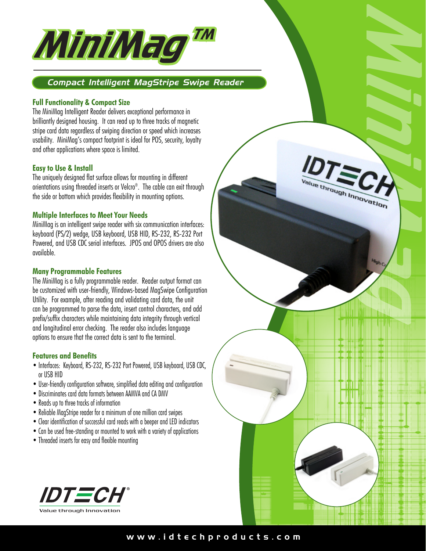

# *Compact Intelligent MagStripe Swipe Reader*

## **Full Functionality & Compact Size**

The MiniMag Intelligent Reader delivers exceptional performance in brilliantly designed housing. It can read up to three tracks of magnetic stripe card data regardless of swiping direction or speed which increases usability. MiniMag's compact footprint is ideal for POS, security, loyalty and other applications where space is limited.

## **Easy to Use & Install**

The uniquely designed flat surface allows for mounting in different orientations using threaded inserts or Velcro®. The cable can exit through the side or bottom which provides flexibility in mounting options.

#### **Multiple Interfaces to Meet Your Needs**

MiniMag is an intelligent swipe reader with six communication interfaces: keyboard (PS/2) wedge, USB keyboard, USB HID, RS-232, RS-232 Port Powered, and USB CDC serial interfaces. JPOS and OPOS drivers are also available.

## **Many Programmable Features**

The MiniMag is a fully programmable reader. Reader output format can be customized with user-friendly, Windows-based MagSwipe Configuration Utility. For example, after reading and validating card data, the unit can be programmed to parse the data, insert control characters, and add prefix/suffix characters while maintaining data integrity through vertical and longitudinal error checking. The reader also includes language options to ensure that the correct data is sent to the terminal.

## **Features and Benefits**

- Interfaces: Keyboard, RS-232, RS-232 Port Powered, USB keyboard, USB CDC, or USB HID
- User-friendly configuration software, simplified data editing and configuration
- Discriminates card data formats between AAMVA and CA DMV
- Reads up to three tracks of information
- Reliable MagStripe reader for a minimum of one million card swipes
- Clear identification of successful card reads with a beeper and LED indicators
- Can be used free-standing or mounted to work with a variety of applications
- Threaded inserts for easy and flexible mounting





**RESERVED AND ARRIVED AND ACCEPTANCE OF CONTRACT CONTROLLER**